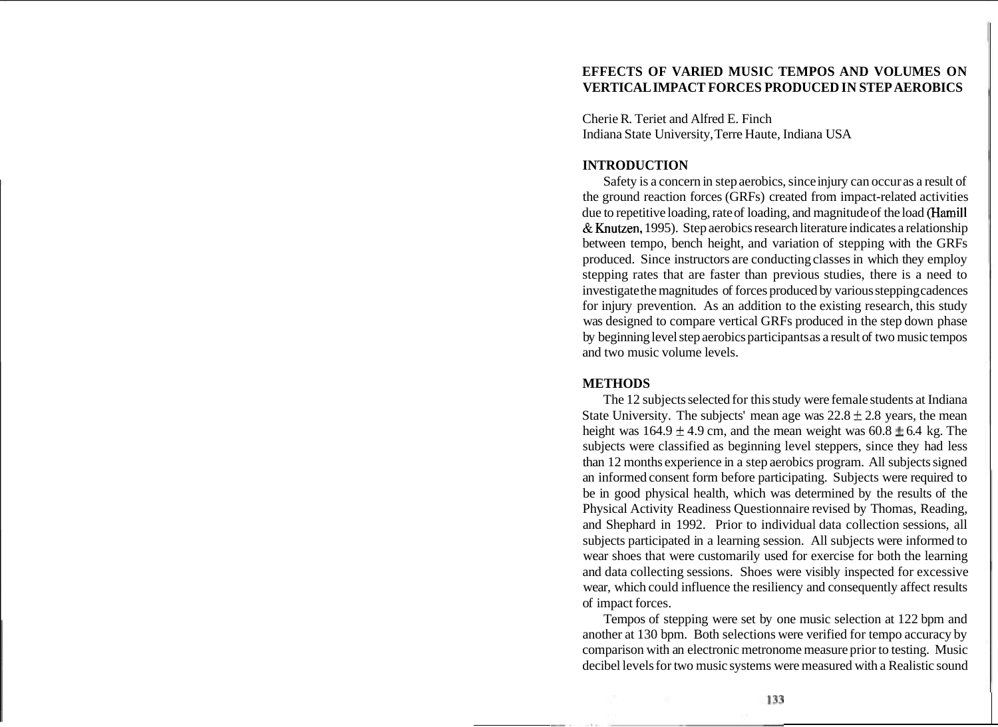# **EFFECTS OF VARIED MUSIC TEMPOS AND VOLUMES ON VERTICAL IMPACT FORCES PRODUCED IN STEP AEROBICS**

Cherie R. Teriet and Alfred E. Finch Indiana State University, Terre Haute, Indiana USA

# **INTRODUCTION**

Safety is a concern in step aerobics, since injury can occur as a result of the ground reaction forces (GRFs) created from impact-related activities due to repetitive loading, rate of loading, and magnitude of the load (Hamill & Knutzen, 1995). Step aerobics research literature indicates a relationship between tempo, bench height, and variation of stepping with the GRFs produced. Since instructors are conducting classes in which they employ stepping rates that are faster than previous studies, there is a need to investigate the magnitudes of forces produced by various stepping cadences for injury prevention. As an addition to the existing research, this study was designed to compare vertical GRFs produced in the step down phase by beginning level step aerobics participants as a result of two music tempos and two music volume levels.

## **METHODS**

The 12 subjects selected for this study were female students at Indiana State University. The subjects' mean age was  $22.8 \pm 2.8$  years, the mean height was  $164.9 \pm 4.9$  cm, and the mean weight was  $60.8 \pm 6.4$  kg. The subjects were classified as beginning level steppers, since they had less than 12 months experience in a step aerobics program. All subjects signed an informed consent form before participating. Subjects were required to be in good physical health, which was determined by the results of the Physical Activity Readiness Questionnaire revised by Thomas, Reading, and Shephard in 1992. Prior to individual data collection sessions, all subjects participated in a learning session. All subjects were informed to wear shoes that were customarily used for exercise for both the learning and data collecting sessions. Shoes were visibly inspected for excessive wear, which could influence the resiliency and consequently affect results of impact forces.

Tempos of stepping were set by one music selection at 122 bpm and another at 130 bpm. Both selections were verified for tempo accuracy by comparison with an electronic metronome measure prior to testing. Music decibel levels for two music systems were measured with a Realistic sound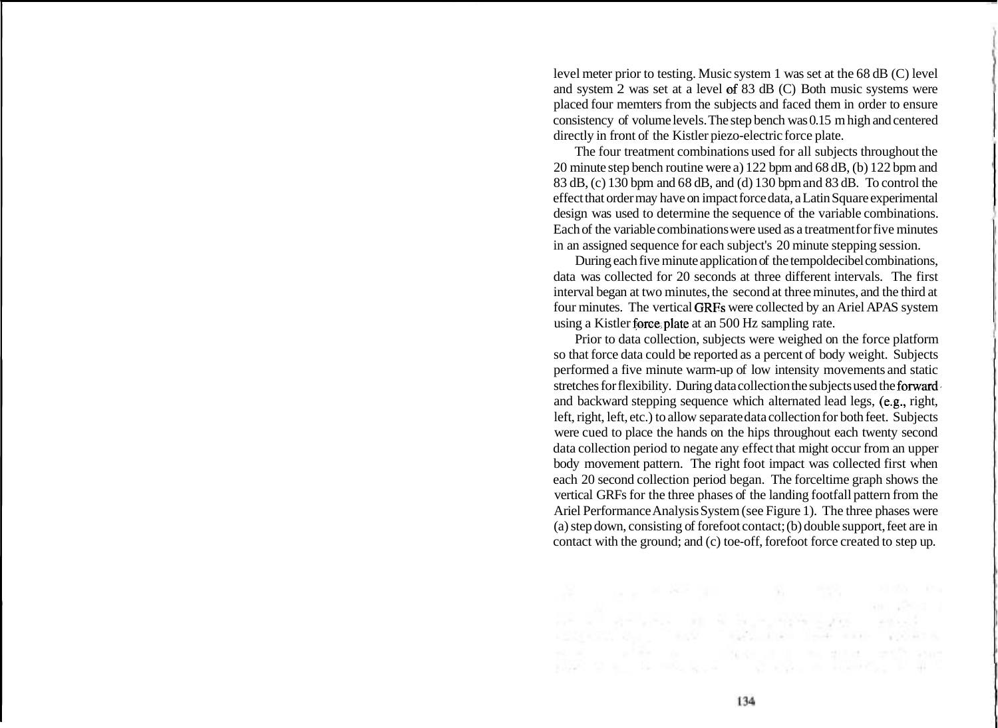level meter prior to testing. Music system 1 was set at the 68 dB (C) level and system 2 was set at a level of 83 dB (C) Both music systems were placed four memters from the subjects and faced them in order to ensure consistency of volume levels. The step bench was 0.15 m high and centered directly in front of the Kistler piezo-electric force plate.

The four treatment combinations used for all subjects throughout the 20 minute step bench routine were a) 122 bpm and 68 dB, (b) 122 bpm and 83 dB, (c) 130 bpm and 68 dB, and (d) 130 bpm and 83 dB. To control the effect that order may have on impact force data, a Latin Square experimental design was used to determine the sequence of the variable combinations. Each of the variable combinations were used as a treatment for five minutes in an assigned sequence for each subject's 20 minute stepping session.

During each five minute application of the tempoldecibel combinations, data was collected for 20 seconds at three different intervals. The first interval began at two minutes, the second at three minutes, and the third at four minutes. The vertical GRFs were collected by an Ariel APAS system using a Kistler force,plate at an 500 Hz sampling rate.

Prior to data collection, subjects were weighed on the force platform so that force data could be reported as a percent of body weight. Subjects performed a five minute warm-up of low intensity movements and static stretches for flexibility. During data collection the subjects used the forward and backward stepping sequence which alternated lead legs, (e.g., right, left, right, left, etc.) to allow separate data collection for both feet. Subjects were cued to place the hands on the hips throughout each twenty second data collection period to negate any effect that might occur from an upper body movement pattern. The right foot impact was collected first when each 20 second collection period began. The forceltime graph shows the vertical GRFs for the three phases of the landing footfall pattern from the Ariel Performance Analysis System (see Figure 1). The three phases were (a) step down, consisting of forefoot contact; (b) double support, feet are in contact with the ground; and (c) toe-off, forefoot force created to step up.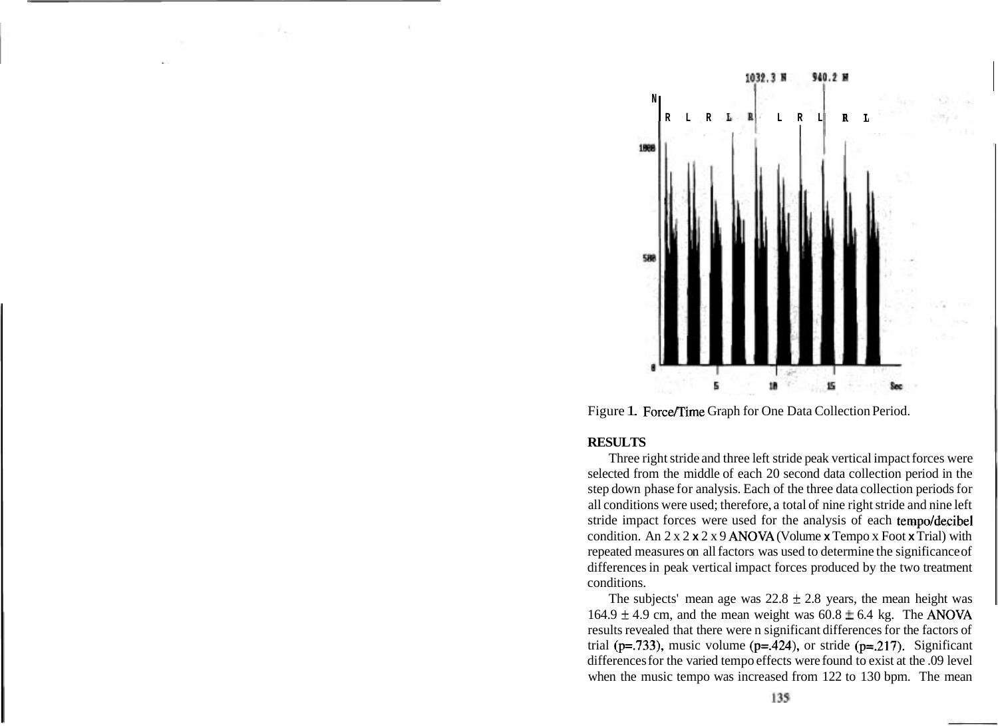

Figure 1. Force/Time Graph for One Data Collection Period.

#### **RESULTS**

Three right stride and three left stride peak vertical impact forces were selected from the middle of each 20 second data collection period in the step down phase for analysis. Each of the three data collection periods for all conditions were used; therefore, a total of nine right stride and nine left stride impact forces were used for the analysis of each tempo/decibel condition. An 2 x 2 **x** 2 x 9 ANOVA (Volume **x** Tempo x Foot **x** Trial) with repeated measures on all factors was used to determine the significance of differences in peak vertical impact forces produced by the two treatment conditions.

The subjects' mean age was  $22.8 \pm 2.8$  years, the mean height was  $164.9 \pm 4.9$  cm, and the mean weight was  $60.8 \pm 6.4$  kg. The ANOVA results revealed that there were n significant differences for the factors of trial ( $p = .733$ ), music volume ( $p = .424$ ), or stride ( $p = .217$ ). Significant differences for the varied tempo effects were found to exist at the .09 level when the music tempo was increased from 122 to 130 bpm. The mean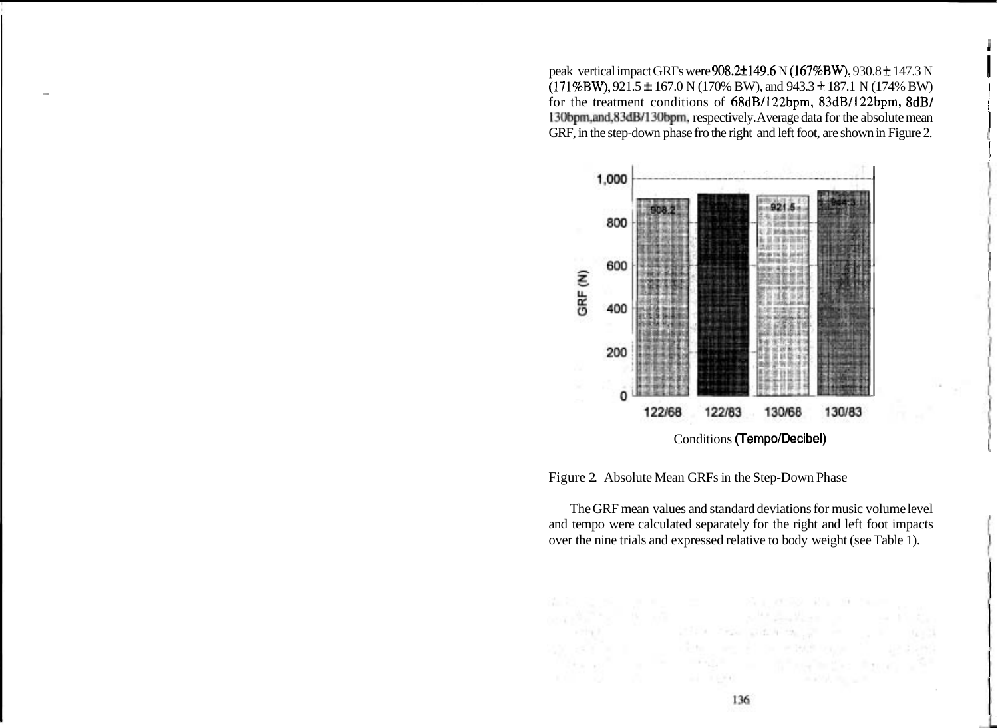peak vertical impact GRFs were  $908.2 \pm 149.6$  N ( $167\%$ BW),  $930.8 \pm 147.3$  N  $(171\%BW)$ ,  $921.5 \pm 167.0$  N  $(170\%BW)$ , and  $943.3 \pm 187.1$  N  $(174\%BW)$ <sup>I</sup>for the treatment conditions of 68dB/122bpm, 83dB/122bpm, 8dB/ 130bpm,and,83dB/130bpm, respectively. Average data for the absolute mean GRF, in the step-down phase fro the right and left foot, are shown in Figure 2.



Figure 2. Absolute Mean GRFs in the Step-Down Phase

The GRF mean values and standard deviations for music volume level and tempo were calculated separately for the right and left foot impacts over the nine trials and expressed relative to body weight (see Table 1).

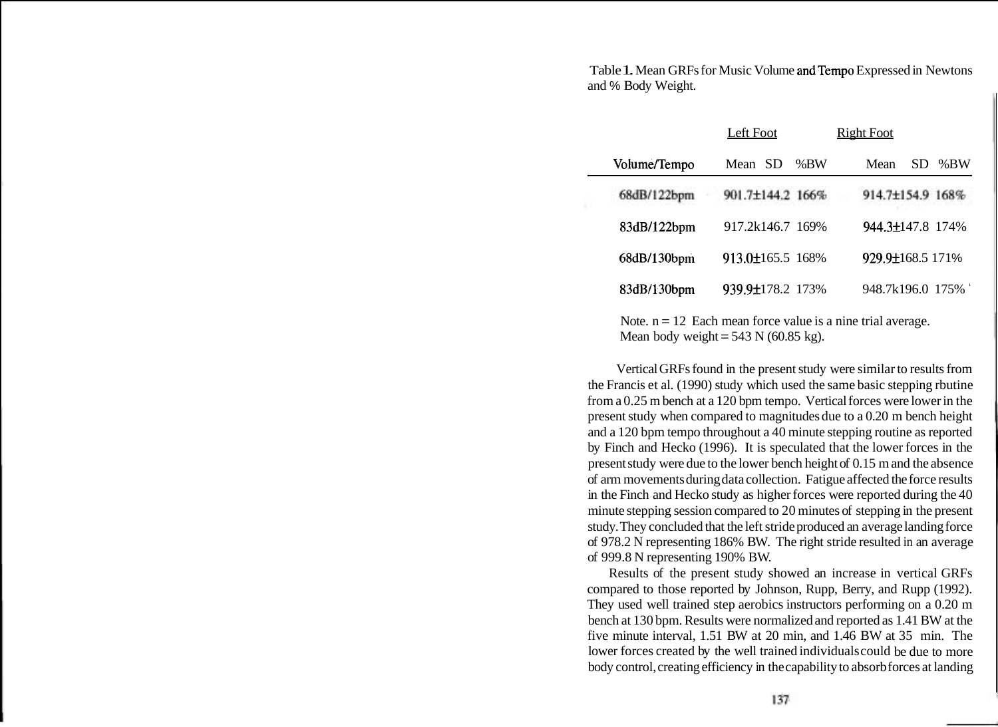Table 1. Mean GRFs for Music Volume and Tempo Expressed in Newtons and % Body Weight.

|              | Left Foot             |     | <b>Right Foot</b> |     |               |
|--------------|-----------------------|-----|-------------------|-----|---------------|
| Volume/Tempo | SD.<br>Mean           | %BW | Mean              | SD. | % $B_{\rm W}$ |
| 68dB/122bpm  | 901.7±144.2 166%      |     | 914.7±154.9 168%  |     |               |
| 83dB/122bpm  | 917.2k146.7 169%      |     | 944.3±147.8 174%  |     |               |
| 68dB/130bpm  | $913.0\pm 165.5$ 168% |     | 929.9±168.5 171%  |     |               |
| 83dB/130bpm  | 939.9±178.2 173%      |     | 948.7k196.0 175%  |     |               |

Note.  $n = 12$  Each mean force value is a nine trial average. Mean body weight =  $543$  N (60.85 kg).

Vertical GRFs found in the present study were similar to results from the Francis et al. (1990) study which used the same basic stepping rbutine from a 0.25 m bench at a 120 bpm tempo. Vertical forces were lower in the present study when compared to magnitudes due to a 0.20 m bench height and a 120 bpm tempo throughout a 40 minute stepping routine as reported by Finch and Hecko (1996). It is speculated that the lower forces in the present study were due to the lower bench height of 0.15 m and the absence of arm movements during data collection. Fatigue affected the force results in the Finch and Hecko study as higher forces were reported during the 40 minute stepping session compared to 20 minutes of stepping in the present study. They concluded that the left stride produced an average landing force of 978.2 N representing 186% BW. The right stride resulted in an average of 999.8 N representing 190% B W.

Results of the present study showed an increase in vertical GRFs compared to those reported by Johnson, Rupp, Berry, and Rupp (1992). They used well trained step aerobics instructors performing on a 0.20 m bench at 130 bpm. Results were normalized and reported as 1.41 BW at the five minute interval, 1.51 BW at 20 min, and 1.46 BW at 35 min. The lower forces created by the well trained individuals could be due to more body control, creating efficiency in the capability to absorb forces at landing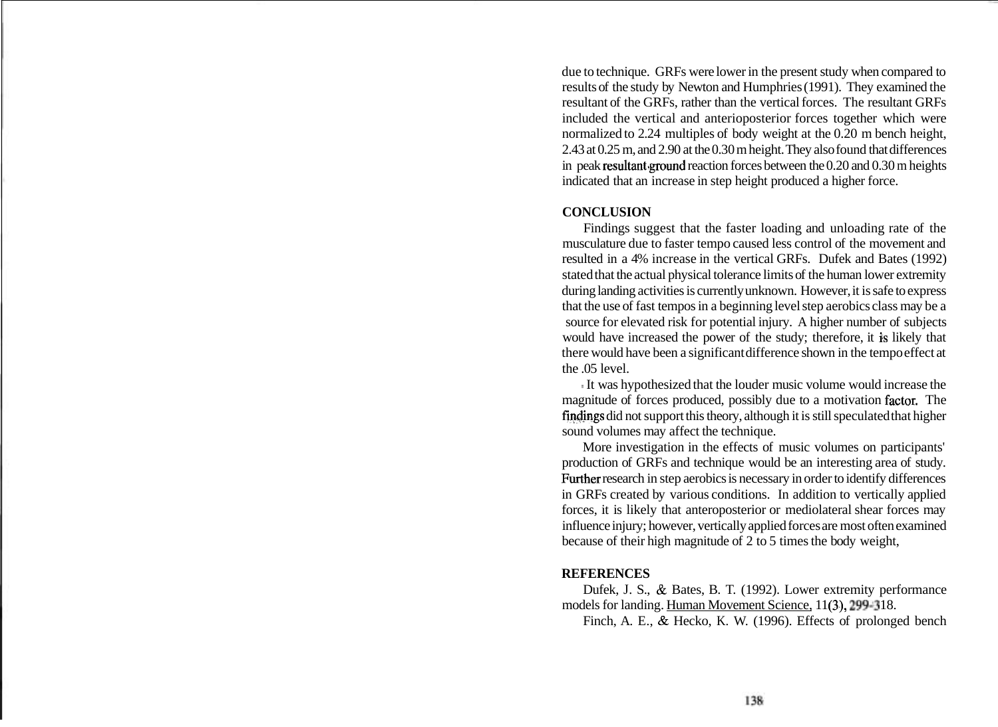due to technique. GRFs were lower in the present study when compared to results of the study by Newton and Humphries (1991). They examined the resultant of the GRFs, rather than the vertical forces. The resultant GRFs included the vertical and anterioposterior forces together which were normalized to 2.24 multiples of body weight at the 0.20 m bench height, 2.43 at 0.25 m, and 2.90 at the 0.30 m height. They also found that differences in peak resultant ground reaction forces between the  $0.20$  and  $0.30$  m heights indicated that an increase in step height produced a higher force.

### **CONCLUSION**

Findings suggest that the faster loading and unloading rate of the musculature due to faster tempo caused less control of the movement and resulted in a 4% increase in the vertical GRFs. Dufek and Bates (1992) stated that the actual physical tolerance limits of the human lower extremity during landing activities is currently unknown. However, it is safe to express that the use of fast tempos in a beginning level step aerobics class may be a source for elevated risk for potential injury. A higher number of subjects would have increased the power of the study; therefore, it is likely that there would have been a significant difference shown in the tempo effect at the 05 level.

% It was hypothesized that the louder music volume would increase the magnitude of forces produced, possibly due to a motivation factor. The findings did not support this theory, although it is still speculated that higher sound volumes may affect the technique.

More investigation in the effects of music volumes on participants' production of GRFs and technique would be an interesting area of study. Further research in step aerobics is necessary in order to identify differences in GRFs created by various conditions. In addition to vertically applied forces, it is likely that anteroposterior or mediolateral shear forces may influence injury; however, vertically applied forces are most often examined because of their high magnitude of 2 to 5 times the body weight,

### **REFERENCES**

Dufek, J. S., & Bates, B. T. (1992). Lower extremity performance models for landing. Human Movement Science, 11(3), 299-318.

Finch, A. E., & Hecko, K. W. (1996). Effects of prolonged bench